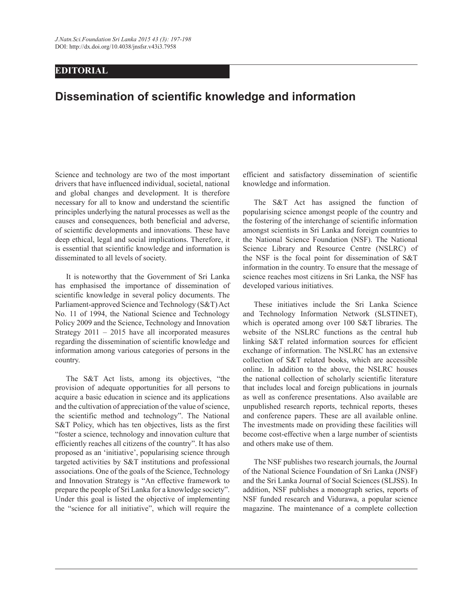## **EDITORIAL**

## **Dissemination of scientific knowledge and information**

Science and technology are two of the most important drivers that have influenced individual, societal, national and global changes and development. It is therefore necessary for all to know and understand the scientific principles underlying the natural processes as well as the causes and consequences, both beneficial and adverse, of scientific developments and innovations. These have deep ethical, legal and social implications. Therefore, it is essential that scientific knowledge and information is disseminated to all levels of society.

 It is noteworthy that the Government of Sri Lanka has emphasised the importance of dissemination of scientific knowledge in several policy documents. The Parliament-approved Science and Technology (S&T) Act No. 11 of 1994, the National Science and Technology Policy 2009 and the Science, Technology and Innovation Strategy 2011 – 2015 have all incorporated measures regarding the dissemination of scientific knowledge and information among various categories of persons in the country.

 The S&T Act lists, among its objectives, "the provision of adequate opportunities for all persons to acquire a basic education in science and its applications and the cultivation of appreciation of the value of science, the scientific method and technology". The National S&T Policy, which has ten objectives, lists as the first "foster a science, technology and innovation culture that efficiently reaches all citizens of the country". It has also proposed as an 'initiative', popularising science through targeted activities by S&T institutions and professional associations. One of the goals of the Science, Technology and Innovation Strategy is "An effective framework to prepare the people of Sri Lanka for a knowledge society". Under this goal is listed the objective of implementing the "science for all initiative", which will require the

efficient and satisfactory dissemination of scientific knowledge and information.

 The S&T Act has assigned the function of popularising science amongst people of the country and the fostering of the interchange of scientific information amongst scientists in Sri Lanka and foreign countries to the National Science Foundation (NSF). The National Science Library and Resource Centre (NSLRC) of the NSF is the focal point for dissemination of S&T information in the country. To ensure that the message of science reaches most citizens in Sri Lanka, the NSF has developed various initiatives.

 These initiatives include the Sri Lanka Science and Technology Information Network (SLSTINET), which is operated among over 100 S&T libraries. The website of the NSLRC functions as the central hub linking S&T related information sources for efficient exchange of information. The NSLRC has an extensive collection of S&T related books, which are accessible online. In addition to the above, the NSLRC houses the national collection of scholarly scientific literature that includes local and foreign publications in journals as well as conference presentations. Also available are unpublished research reports, technical reports, theses and conference papers. These are all available online. The investments made on providing these facilities will become cost-effective when a large number of scientists and others make use of them.

 The NSF publishes two research journals, the Journal of the National Science Foundation of Sri Lanka (JNSF) and the Sri Lanka Journal of Social Sciences (SLJSS). In addition, NSF publishes a monograph series, reports of NSF funded research and Vidurawa, a popular science magazine. The maintenance of a complete collection